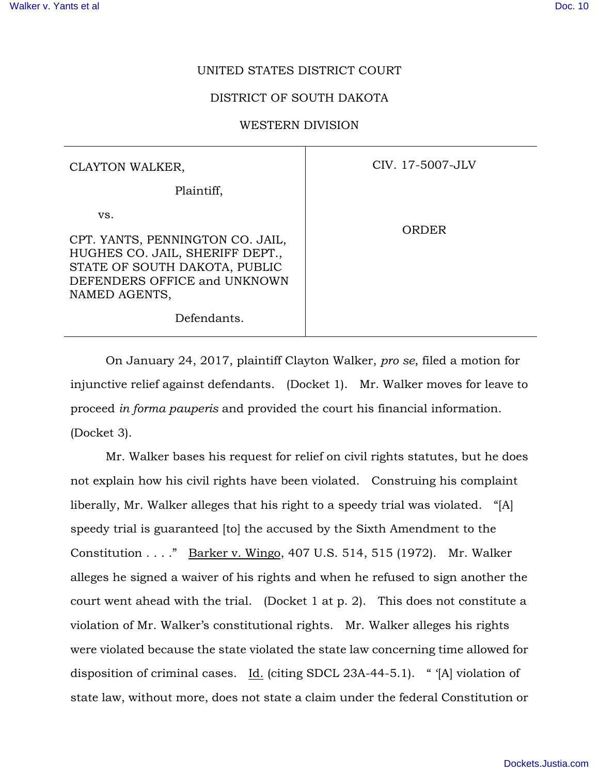## UNITED STATES DISTRICT COURT

## DISTRICT OF SOUTH DAKOTA

## WESTERN DIVISION

| CLAYTON WALKER,                                                                                                                                              | CIV. 17-5007-JLV |
|--------------------------------------------------------------------------------------------------------------------------------------------------------------|------------------|
| Plaintiff,                                                                                                                                                   |                  |
| VS.<br>CPT. YANTS, PENNINGTON CO. JAIL,<br>HUGHES CO. JAIL, SHERIFF DEPT.,<br>STATE OF SOUTH DAKOTA, PUBLIC<br>DEFENDERS OFFICE and UNKNOWN<br>NAMED AGENTS, | ORDER            |
| Defendants.                                                                                                                                                  |                  |

On January 24, 2017, plaintiff Clayton Walker, *pro se*, filed a motion for injunctive relief against defendants. (Docket 1). Mr. Walker moves for leave to proceed *in forma pauperis* and provided the court his financial information. (Docket 3).

Mr. Walker bases his request for relief on civil rights statutes, but he does not explain how his civil rights have been violated. Construing his complaint liberally, Mr. Walker alleges that his right to a speedy trial was violated. "[A] speedy trial is guaranteed [to] the accused by the Sixth Amendment to the Constitution . . . ." Barker v. Wingo, 407 U.S. 514, 515 (1972). Mr. Walker alleges he signed a waiver of his rights and when he refused to sign another the court went ahead with the trial. (Docket 1 at p. 2). This does not constitute a violation of Mr. Walker's constitutional rights. Mr. Walker alleges his rights were violated because the state violated the state law concerning time allowed for disposition of criminal cases. Id. (citing SDCL 23A-44-5.1). " '[A] violation of state law, without more, does not state a claim under the federal Constitution or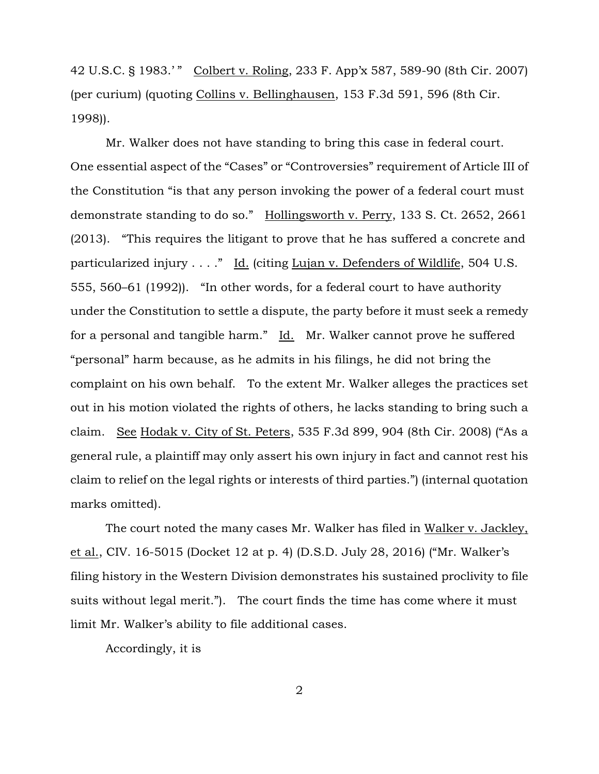42 U.S.C. § 1983.' " Colbert v. Roling, 233 F. App'x 587, 589-90 (8th Cir. 2007) (per curium) (quoting Collins v. Bellinghausen, 153 F.3d 591, 596 (8th Cir. 1998)).

Mr. Walker does not have standing to bring this case in federal court. One essential aspect of the "Cases" or "Controversies" requirement of Article III of the Constitution "is that any person invoking the power of a federal court must demonstrate standing to do so." Hollingsworth v. Perry, 133 S. Ct. 2652, 2661 (2013). "This requires the litigant to prove that he has suffered a concrete and particularized injury . . . ." Id. (citing Lujan v. Defenders of Wildlife, 504 U.S. 555, 560–61 (1992)). "In other words, for a federal court to have authority under the Constitution to settle a dispute, the party before it must seek a remedy for a personal and tangible harm." Id. Mr. Walker cannot prove he suffered "personal" harm because, as he admits in his filings, he did not bring the complaint on his own behalf. To the extent Mr. Walker alleges the practices set out in his motion violated the rights of others, he lacks standing to bring such a claim. See Hodak v. City of St. Peters, 535 F.3d 899, 904 (8th Cir. 2008) ("As a general rule, a plaintiff may only assert his own injury in fact and cannot rest his claim to relief on the legal rights or interests of third parties.") (internal quotation marks omitted).

The court noted the many cases Mr. Walker has filed in Walker v. Jackley, et al., CIV. 16-5015 (Docket 12 at p. 4) (D.S.D. July 28, 2016) ("Mr. Walker's filing history in the Western Division demonstrates his sustained proclivity to file suits without legal merit."). The court finds the time has come where it must limit Mr. Walker's ability to file additional cases.

Accordingly, it is